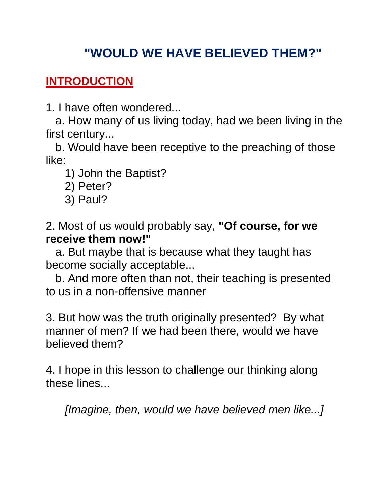# **"WOULD WE HAVE BELIEVED THEM?"**

#### **INTRODUCTION**

1. I have often wondered...

 a. How many of us living today, had we been living in the first century...

 b. Would have been receptive to the preaching of those like:

1) John the Baptist?

2) Peter?

3) Paul?

2. Most of us would probably say, **"Of course, for we receive them now!"**

 a. But maybe that is because what they taught has become socially acceptable...

 b. And more often than not, their teaching is presented to us in a non-offensive manner

3. But how was the truth originally presented? By what manner of men? If we had been there, would we have believed them?

4. I hope in this lesson to challenge our thinking along these lines...

*[Imagine, then, would we have believed men like...]*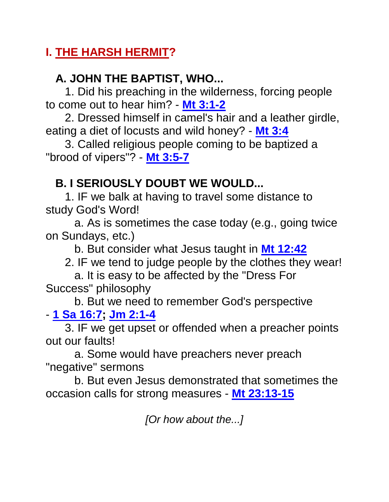## **I. THE HARSH HERMIT?**

# **A. JOHN THE BAPTIST, WHO...**

 1. Did his preaching in the wilderness, forcing people to come out to hear him? - **Mt [3:1-2](http://biblia.com/bible/nkjv/Mt%203.1-2)**

 2. Dressed himself in camel's hair and a leather girdle, eating a diet of locusts and wild honey? - **[Mt 3:4](http://biblia.com/bible/nkjv/Mt%203.4)**

 3. Called religious people coming to be baptized a "brood of vipers"? - **[Mt 3:5-7](http://biblia.com/bible/nkjv/Mt%203.5-7)**

## **B. I SERIOUSLY DOUBT WE WOULD...**

 1. IF we balk at having to travel some distance to study God's Word!

 a. As is sometimes the case today (e.g., going twice on Sundays, etc.)

b. But consider what Jesus taught in **[Mt 12:42](http://biblia.com/bible/nkjv/Mt%2012.42)**

[2.](http://biblia.com/bible/nkjv/Mt%2012.2) IF we tend to judge people by the clothes they wear!

 a. It is easy to be affected by the "Dress For Success" philosophy

 b. But we need to remember God's perspective - **[1 Sa 16:7;](http://biblia.com/bible/nkjv/1%20Sa%2016.7) [Jm 2:1-4](http://biblia.com/bible/nkjv/Jm%202.1-4)**

 3. IF we get upset or offended when a preacher points out our faults!

 a. Some would have preachers never preach "negative" sermons

 b. But even Jesus demonstrated that sometimes the occasion calls for strong measures - **[Mt 23:13-15](http://biblia.com/bible/nkjv/Mt%2023.13-15)**

*[Or how about the...]*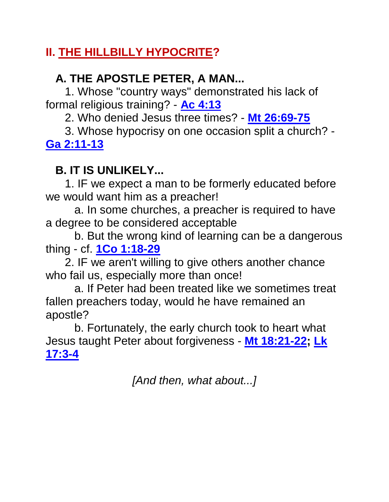## **II. THE HILLBILLY HYPOCRITE?**

## **A. THE APOSTLE PETER, A MAN...**

 1. Whose "country ways" demonstrated his lack of formal religious training? - **[Ac 4:13](http://biblia.com/bible/nkjv/Ac%204.13)**

2. Who denied Jesus three times? - **[Mt 26:69-75](http://biblia.com/bible/nkjv/Mt%2026.69-75)**

 3. Whose hypocrisy on one occasion split a church? - **[Ga 2:11-13](http://biblia.com/bible/nkjv/Ga%202.11-13)**

#### **B. IT IS UNLIKELY...**

 1. IF we expect a man to be formerly educated before we would want him as a preacher!

 a. In some churches, a preacher is required to have a degree to be considered acceptable

 b. But the wrong kind of learning can be a dangerous thing - cf. **[1Co 1:18-29](http://biblia.com/bible/nkjv/1Co%201.18-29)**

 2. IF we aren't willing to give others another chance who fail us, especially more than once!

 a. If Peter had been treated like we sometimes treat fallen preachers today, would he have remained an apostle?

 b. Fortunately, the early church took to heart what Jesus taught Peter about forgiveness - **[Mt 18:21-22;](http://biblia.com/bible/nkjv/Mt%2018.21-22) [Lk](http://biblia.com/bible/nkjv/Lk%2017.3-4)  [17:3-4](http://biblia.com/bible/nkjv/Lk%2017.3-4)**

*[And then, what about...]*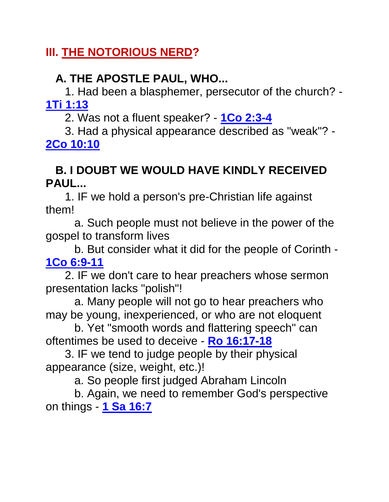### **III. THE NOTORIOUS NERD?**

## **A. THE APOSTLE PAUL, WHO...**

 1. Had been a blasphemer, persecutor of the church? - **[1Ti 1:13](http://biblia.com/bible/nkjv/1Ti%201.13)**

2. Was not a fluent speaker? - **[1Co 2:3-4](http://biblia.com/bible/nkjv/1Co%202.3-4)**

 3. Had a physical appearance described as "weak"? - **[2Co 10:10](http://biblia.com/bible/nkjv/2Co%2010.10)**

#### **B. I DOUBT WE WOULD HAVE KINDLY RECEIVED PAUL...**

 1. IF we hold a person's pre-Christian life against them!

 a. Such people must not believe in the power of the gospel to transform lives

 b. But consider what it did for the people of Corinth - **[1Co 6:9-11](http://biblia.com/bible/nkjv/1Co%206.9-11)**

 2. IF we don't care to hear preachers whose sermon presentation lacks "polish"!

 a. Many people will not go to hear preachers who may be young, inexperienced, or who are not eloquent

 b. Yet "smooth words and flattering speech" can oftentimes be used to deceive - **[Ro 16:17-18](http://biblia.com/bible/nkjv/Ro%2016.17-18)**

 3. IF we tend to judge people by their physical appearance (size, weight, etc.)!

a. So people first judged Abraham Lincoln

 b. Again, we need to remember God's perspective on things - **[1 Sa 16:7](http://biblia.com/bible/nkjv/1%20Sa%2016.7)**